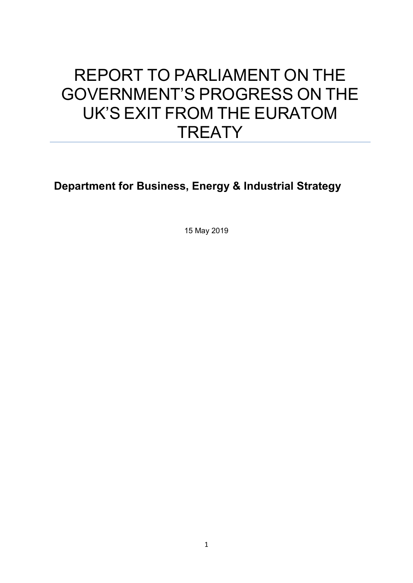# REPORT TO PARLIAMENT ON THE GOVERNMENT'S PROGRESS ON THE UK'S EXIT FROM THE EURATOM **TREATY**

**Department for Business, Energy & Industrial Strategy**

15 May 2019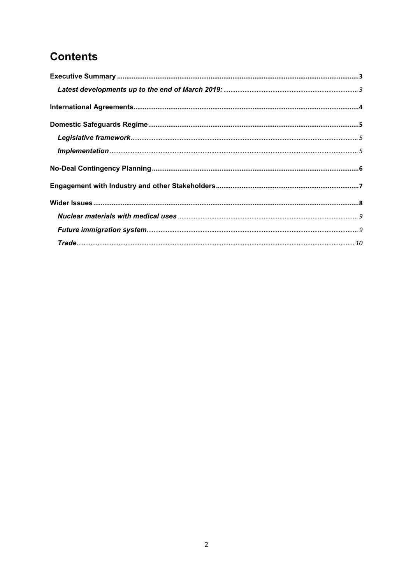# **Contents**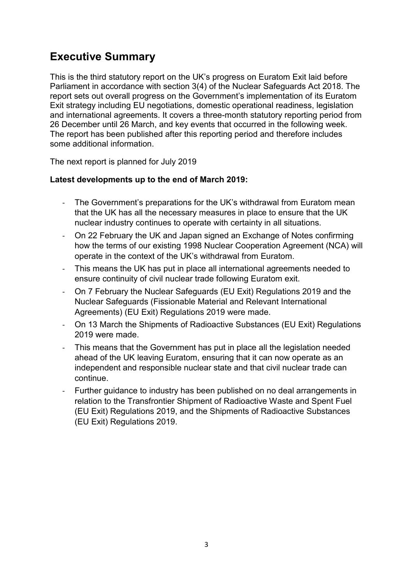# <span id="page-2-0"></span>**Executive Summary**

This is the third statutory report on the UK's progress on Euratom Exit laid before Parliament in accordance with section 3(4) of the Nuclear Safeguards Act 2018. The report sets out overall progress on the Government's implementation of its Euratom Exit strategy including EU negotiations, domestic operational readiness, legislation and international agreements. It covers a three-month statutory reporting period from 26 December until 26 March, and key events that occurred in the following week. The report has been published after this reporting period and therefore includes some additional information.

The next report is planned for July 2019

#### <span id="page-2-1"></span>**Latest developments up to the end of March 2019:**

- The Government's preparations for the UK's withdrawal from Euratom mean that the UK has all the necessary measures in place to ensure that the UK nuclear industry continues to operate with certainty in all situations.
- On 22 February the UK and Japan signed an Exchange of Notes confirming how the terms of our existing 1998 Nuclear Cooperation Agreement (NCA) will operate in the context of the UK's withdrawal from Euratom.
- This means the UK has put in place all international agreements needed to ensure continuity of civil nuclear trade following Euratom exit.
- On 7 February the Nuclear Safeguards (EU Exit) Regulations 2019 and the Nuclear Safeguards (Fissionable Material and Relevant International Agreements) (EU Exit) Regulations 2019 were made.
- On 13 March the Shipments of Radioactive Substances (EU Exit) Regulations 2019 were made.
- This means that the Government has put in place all the legislation needed ahead of the UK leaving Euratom, ensuring that it can now operate as an independent and responsible nuclear state and that civil nuclear trade can continue.
- Further guidance to industry has been published on no deal arrangements in relation to the Transfrontier Shipment of Radioactive Waste and Spent Fuel (EU Exit) Regulations 2019, and the Shipments of Radioactive Substances (EU Exit) Regulations 2019.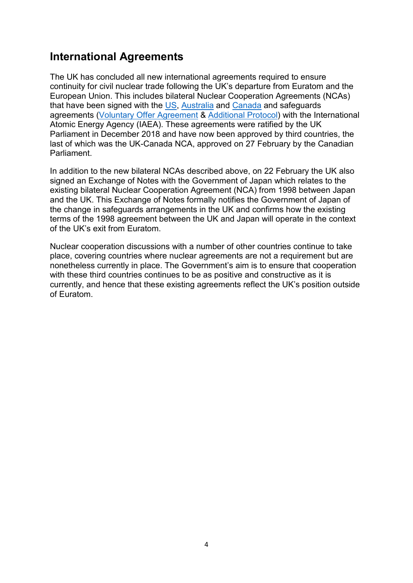### <span id="page-3-0"></span>**International Agreements**

The UK has concluded all new international agreements required to ensure continuity for civil nuclear trade following the UK's departure from Euratom and the European Union. This includes bilateral Nuclear Cooperation Agreements (NCAs) that have been signed with the [US,](https://www.gov.uk/government/publications/cs-usa-no12018-ukusa-agreement-for-cooperation-in-peaceful-uses-of-nuclear-energy) [Australia](https://www.gov.uk/government/publications/cs-australia-no12018-ukaustralia-agreement-for-cooperation-in-the-peaceful-uses-of-nuclear-energy) and [Canada](https://www.gov.uk/government/publications/cs-canada-no12018-ukcanada-agreement-for-cooperation-in-the-peaceful-uses-of-nuclear-energy) and safeguards agreements [\(Voluntary Offer Agreement](https://www.gov.uk/government/publications/ms-no132018-ukiaea-agreement-for-application-of-safeguards-in-connection-with-treaty-on-the-non-proliferation-of-nuclear-weapons) & [Additional Protocol\)](https://www.gov.uk/government/publications/ms-no122018-ukiaea-protocol-additional-to-agreement-for-application-of-safeguards-in-connection-treaty-on-non-proliferation-of-nuclear-weapons) with the International Atomic Energy Agency (IAEA). These agreements were ratified by the UK Parliament in December 2018 and have now been approved by third countries, the last of which was the UK-Canada NCA, approved on 27 February by the Canadian Parliament.

In addition to the new bilateral NCAs described above, on 22 February the UK also signed an Exchange of Notes with the Government of Japan which relates to the existing bilateral Nuclear Cooperation Agreement (NCA) from 1998 between Japan and the UK. This Exchange of Notes formally notifies the Government of Japan of the change in safeguards arrangements in the UK and confirms how the existing terms of the 1998 agreement between the UK and Japan will operate in the context of the UK's exit from Euratom.

Nuclear cooperation discussions with a number of other countries continue to take place, covering countries where nuclear agreements are not a requirement but are nonetheless currently in place. The Government's aim is to ensure that cooperation with these third countries continues to be as positive and constructive as it is currently, and hence that these existing agreements reflect the UK's position outside of Euratom.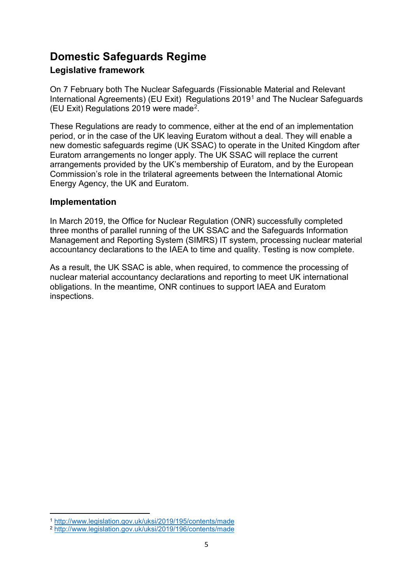# <span id="page-4-0"></span>**Domestic Safeguards Regime**

#### <span id="page-4-1"></span>**Legislative framework**

On 7 February both [The Nuclear Safeguards \(Fissionable Material and Relevant](http://www.legislation.gov.uk/uksi/2019/195/contents/made)  [International Agreements\) \(EU](http://www.legislation.gov.uk/uksi/2019/195/contents/made) [Exit\) Regulations 2019](http://www.legislation.gov.uk/uksi/2019/195/contents/made)[1](#page-4-3) and [The Nuclear Safeguards](http://www.legislation.gov.uk/uksi/2019/196/contents/made)  [\(EU Exit\) Regulations 2019](http://www.legislation.gov.uk/uksi/2019/196/contents/made) were made[2](#page-4-4).

These Regulations are ready to commence, either at the end of an implementation period, or in the case of the UK leaving Euratom without a deal. They will enable a new domestic safeguards regime (UK SSAC) to operate in the United Kingdom after Euratom arrangements no longer apply. The UK SSAC will replace the current arrangements provided by the UK's membership of Euratom, and by the European Commission's role in the trilateral agreements between the International Atomic Energy Agency, the UK and Euratom.

#### <span id="page-4-2"></span>**Implementation**

In March 2019, the Office for Nuclear Regulation (ONR) successfully completed three months of parallel running of the UK SSAC and the Safeguards Information Management and Reporting System (SIMRS) IT system, processing nuclear material accountancy declarations to the IAEA to time and quality. Testing is now complete.

As a result, the UK SSAC is able, when required, to commence the processing of nuclear material accountancy declarations and reporting to meet UK international obligations. In the meantime, ONR continues to support IAEA and Euratom inspections.

 $\overline{a}$ 

<span id="page-4-3"></span><sup>1</sup> <http://www.legislation.gov.uk/uksi/2019/195/contents/made>

<span id="page-4-4"></span><sup>2</sup> <http://www.legislation.gov.uk/uksi/2019/196/contents/made>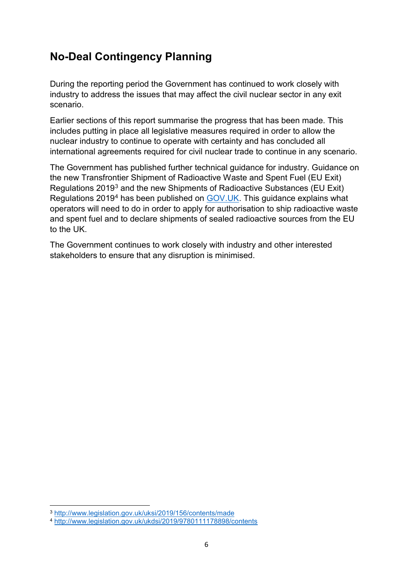# <span id="page-5-0"></span>**No-Deal Contingency Planning**

During the reporting period the Government has continued to work closely with industry to address the issues that may affect the civil nuclear sector in any exit scenario.

Earlier sections of this report summarise the progress that has been made. This includes putting in place all legislative measures required in order to allow the nuclear industry to continue to operate with certainty and has concluded all international agreements required for civil nuclear trade to continue in any scenario.

The Government has published further technical guidance for industry. Guidance on the new Transfrontier Shipment of Radioactive Waste and Spent Fuel (EU Exit) Regulations 2019[3](#page-5-1) and the new Shipments of Radioactive Substances (EU Exit) Regulations 2019[4](#page-5-2) has been published on [GOV.UK.](https://www.gov.uk/government/publications/shipping-radioactive-sources-between-the-uk-and-eu-after-brexit/shipping-radioactive-sources-between-the-uk-and-eu-after-a-no-deal-brexit) This guidance explains what operators will need to do in order to apply for authorisation to ship radioactive waste and spent fuel and to declare shipments of sealed radioactive sources from the EU to the UK.

The Government continues to work closely with industry and other interested stakeholders to ensure that any disruption is minimised.

**.** 

<span id="page-5-1"></span><sup>3</sup> <http://www.legislation.gov.uk/uksi/2019/156/contents/made>

<span id="page-5-2"></span><sup>4</sup> <http://www.legislation.gov.uk/ukdsi/2019/9780111178898/contents>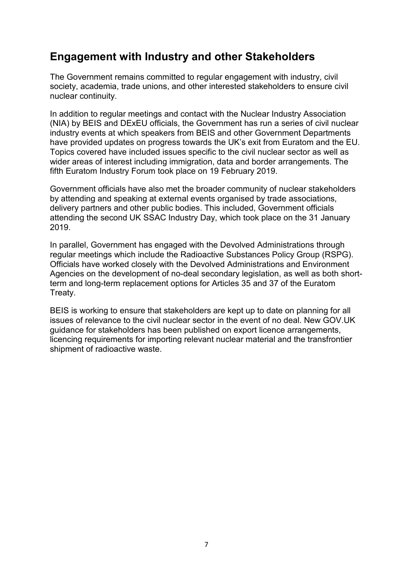### <span id="page-6-0"></span>**Engagement with Industry and other Stakeholders**

The Government remains committed to regular engagement with industry, civil society, academia, trade unions, and other interested stakeholders to ensure civil nuclear continuity.

In addition to regular meetings and contact with the Nuclear Industry Association (NIA) by BEIS and DExEU officials, the Government has run a series of civil nuclear industry events at which speakers from BEIS and other Government Departments have provided updates on progress towards the UK's exit from Euratom and the EU. Topics covered have included issues specific to the civil nuclear sector as well as wider areas of interest including immigration, data and border arrangements. The fifth Euratom Industry Forum took place on 19 February 2019.

Government officials have also met the broader community of nuclear stakeholders by attending and speaking at external events organised by trade associations, delivery partners and other public bodies. This included, Government officials attending the second UK SSAC Industry Day, which took place on the 31 January 2019.

In parallel, Government has engaged with the Devolved Administrations through regular meetings which include the Radioactive Substances Policy Group (RSPG). Officials have worked closely with the Devolved Administrations and Environment Agencies on the development of no-deal secondary legislation, as well as both shortterm and long-term replacement options for Articles 35 and 37 of the Euratom Treaty.

BEIS is working to ensure that stakeholders are kept up to date on planning for all issues of relevance to the civil nuclear sector in the event of no deal. New GOV.UK guidance for stakeholders has been published on export licence arrangements, licencing requirements for importing relevant nuclear material and the transfrontier shipment of radioactive waste.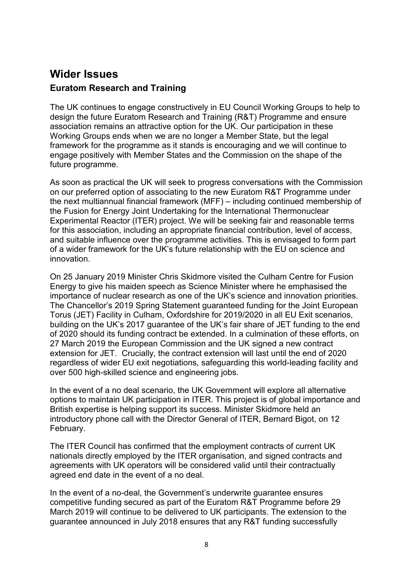# <span id="page-7-0"></span>**Wider Issues Euratom Research and Training**

The UK continues to engage constructively in EU Council Working Groups to help to design the future Euratom Research and Training (R&T) Programme and ensure association remains an attractive option for the UK. Our participation in these Working Groups ends when we are no longer a Member State, but the legal framework for the programme as it stands is encouraging and we will continue to engage positively with Member States and the Commission on the shape of the future programme.

As soon as practical the UK will seek to progress conversations with the Commission on our preferred option of associating to the new Euratom R&T Programme under the next multiannual financial framework (MFF) – including continued membership of the Fusion for Energy Joint Undertaking for the International Thermonuclear Experimental Reactor (ITER) project. We will be seeking fair and reasonable terms for this association, including an appropriate financial contribution, level of access, and suitable influence over the programme activities. This is envisaged to form part of a wider framework for the UK's future relationship with the EU on science and innovation.

On 25 January 2019 Minister Chris Skidmore visited the Culham Centre for Fusion Energy to give his maiden speech as Science Minister where he emphasised the importance of nuclear research as one of the UK's science and innovation priorities. The Chancellor's 2019 Spring Statement guaranteed funding for the Joint European Torus (JET) Facility in Culham, Oxfordshire for 2019/2020 in all EU Exit scenarios, building on the UK's 2017 guarantee of the UK's fair share of JET funding to the end of 2020 should its funding contract be extended. In a culmination of these efforts, on 27 March 2019 the European Commission and the UK signed a new contract extension for JET. Crucially, the contract extension will last until the end of 2020 regardless of wider EU exit negotiations, safeguarding this world-leading facility and over 500 high-skilled science and engineering jobs.

In the event of a no deal scenario, the UK Government will explore all alternative options to maintain UK participation in ITER. This project is of global importance and British expertise is helping support its success. Minister Skidmore held an introductory phone call with the Director General of ITER, Bernard Bigot, on 12 February.

The ITER Council has confirmed that the employment contracts of current UK nationals directly employed by the ITER organisation, and signed contracts and agreements with UK operators will be considered valid until their contractually agreed end date in the event of a no deal.

In the event of a no-deal, the Government's underwrite guarantee ensures competitive funding secured as part of the Euratom R&T Programme before 29 March 2019 will continue to be delivered to UK participants. The extension to the guarantee announced in July 2018 ensures that any R&T funding successfully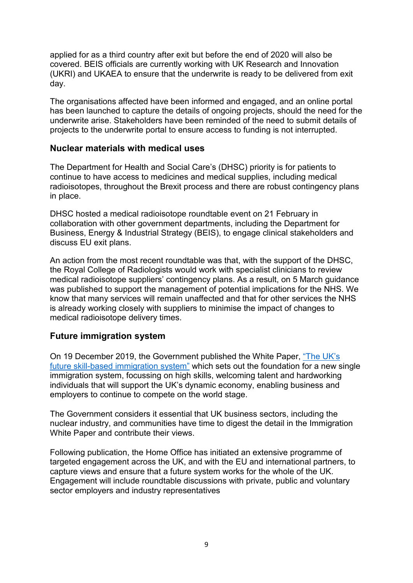applied for as a third country after exit but before the end of 2020 will also be covered. BEIS officials are currently working with UK Research and Innovation (UKRI) and UKAEA to ensure that the underwrite is ready to be delivered from exit day.

The organisations affected have been informed and engaged, and an online portal has been launched to capture the details of ongoing projects, should the need for the underwrite arise. Stakeholders have been reminded of the need to submit details of projects to the underwrite portal to ensure access to funding is not interrupted.

#### <span id="page-8-0"></span>**Nuclear materials with medical uses**

The Department for Health and Social Care's (DHSC) priority is for patients to continue to have access to medicines and medical supplies, including medical radioisotopes, throughout the Brexit process and there are robust contingency plans in place.

DHSC hosted a medical radioisotope roundtable event on 21 February in collaboration with other government departments, including the Department for Business, Energy & Industrial Strategy (BEIS), to engage clinical stakeholders and discuss EU exit plans.

An action from the most recent roundtable was that, with the support of the DHSC, the Royal College of Radiologists would work with specialist clinicians to review medical radioisotope suppliers' contingency plans. As a result, on 5 March guidance was published to support the management of potential implications for the NHS. We know that many services will remain unaffected and that for other services the NHS is already working closely with suppliers to minimise the impact of changes to medical radioisotope delivery times.

#### <span id="page-8-1"></span>**Future immigration system**

On 19 December 2019, the Government published the White Paper, ["The UK's](https://www.gov.uk/government/publications/the-uks-future-skills-based-immigration-system)  [future skill-based immigration system"](https://www.gov.uk/government/publications/the-uks-future-skills-based-immigration-system) which sets out the foundation for a new single immigration system, focussing on high skills, welcoming talent and hardworking individuals that will support the UK's dynamic economy, enabling business and employers to continue to compete on the world stage.

The Government considers it essential that UK business sectors, including the nuclear industry, and communities have time to digest the detail in the Immigration White Paper and contribute their views.

Following publication, the Home Office has initiated an extensive programme of targeted engagement across the UK, and with the EU and international partners, to capture views and ensure that a future system works for the whole of the UK. Engagement will include roundtable discussions with private, public and voluntary sector employers and industry representatives